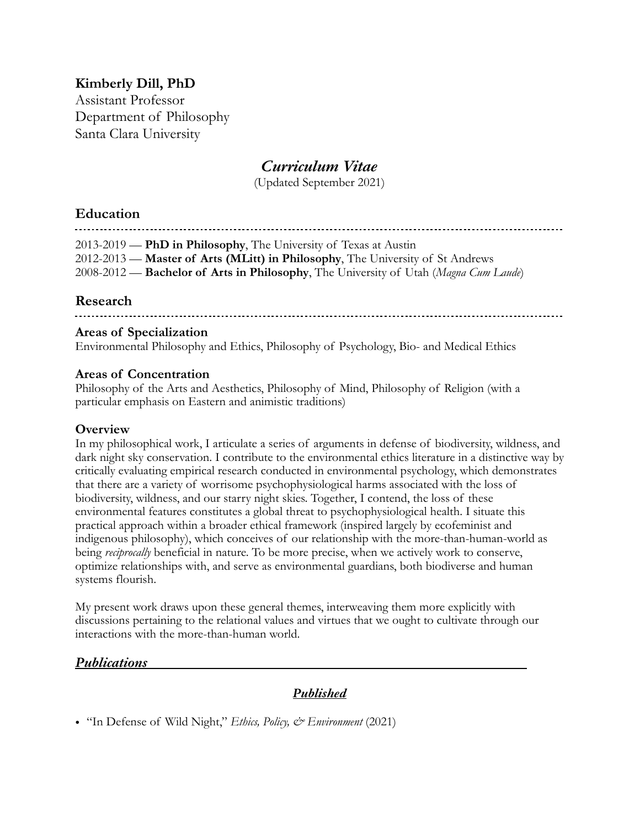# **Kimberly Dill, PhD**

Assistant Professor Department of Philosophy Santa Clara University

# *Curriculum Vitae*

(Updated September 2021)

### **Education**

2013-2019 — **PhD in Philosophy**, The University of Texas at Austin 2012-2013 — **Master of Arts (MLitt) in Philosophy**, The University of St Andrews 2008-2012 — **Bachelor of Arts in Philosophy**, The University of Utah (*Magna Cum Laude*)

## **Research**

#### **Areas of Specialization**

Environmental Philosophy and Ethics, Philosophy of Psychology, Bio- and Medical Ethics

#### **Areas of Concentration**

Philosophy of the Arts and Aesthetics, Philosophy of Mind, Philosophy of Religion (with a particular emphasis on Eastern and animistic traditions)

#### **Overview**

In my philosophical work, I articulate a series of arguments in defense of biodiversity, wildness, and dark night sky conservation. I contribute to the environmental ethics literature in a distinctive way by critically evaluating empirical research conducted in environmental psychology, which demonstrates that there are a variety of worrisome psychophysiological harms associated with the loss of biodiversity, wildness, and our starry night skies. Together, I contend, the loss of these environmental features constitutes a global threat to psychophysiological health. I situate this practical approach within a broader ethical framework (inspired largely by ecofeminist and indigenous philosophy), which conceives of our relationship with the more-than-human-world as being *reciprocally* beneficial in nature. To be more precise, when we actively work to conserve, optimize relationships with, and serve as environmental guardians, both biodiverse and human systems flourish.

My present work draws upon these general themes, interweaving them more explicitly with discussions pertaining to the relational values and virtues that we ought to cultivate through our interactions with the more-than-human world.

### *Publications*

## *Published*

• "In Defense of Wild Night," *Ethics, Policy, & Environment* (2021)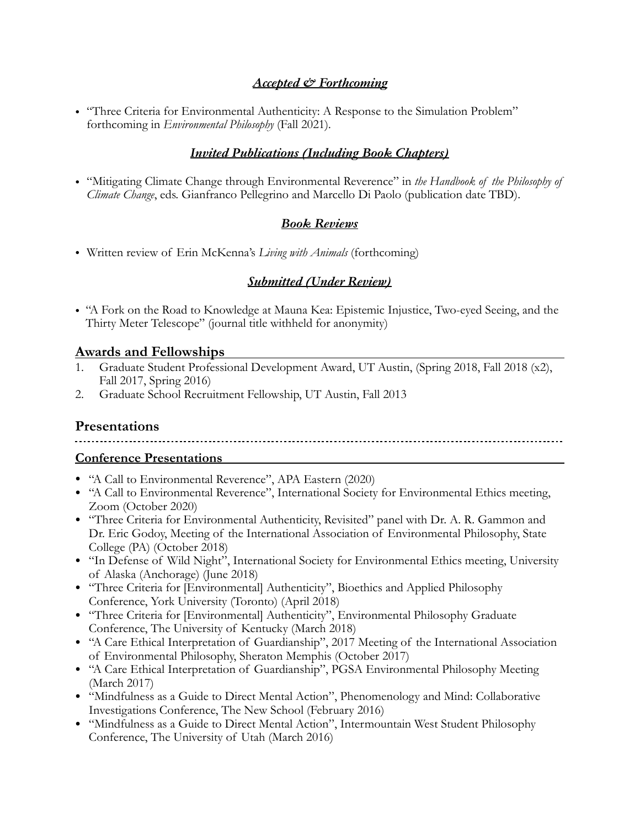#### *Accepted & Forthcoming*

• "Three Criteria for Environmental Authenticity: A Response to the Simulation Problem" forthcoming in *Environmental Philosophy* (Fall 2021)*.* 

# *Invited Publications (Including Book Chapters)*

• "Mitigating Climate Change through Environmental Reverence" in *the Handbook of the Philosophy of Climate Change*, eds. Gianfranco Pellegrino and Marcello Di Paolo (publication date TBD).

## *Book Reviews*

• Written review of Erin McKenna's *Living with Animals* (forthcoming)

### *Submitted (Under Review)*

• "A Fork on the Road to Knowledge at Mauna Kea: Epistemic Injustice, Two-eyed Seeing, and the Thirty Meter Telescope" (journal title withheld for anonymity)

#### **Awards and Fellowships**

- 1. Graduate Student Professional Development Award, UT Austin, (Spring 2018, Fall 2018 (x2), Fall 2017, Spring 2016)
- 2. Graduate School Recruitment Fellowship, UT Austin, Fall 2013

## **Presentations**

#### **Conference Presentations**

- "A Call to Environmental Reverence", APA Eastern (2020)
- "A Call to Environmental Reverence", International Society for Environmental Ethics meeting, Zoom (October 2020)
- "Three Criteria for Environmental Authenticity, Revisited" panel with Dr. A. R. Gammon and Dr. Eric Godoy, Meeting of the International Association of Environmental Philosophy, State College (PA) (October 2018)
- "In Defense of Wild Night", International Society for Environmental Ethics meeting, University of Alaska (Anchorage) (June 2018)
- "Three Criteria for [Environmental] Authenticity", Bioethics and Applied Philosophy Conference, York University (Toronto) (April 2018)
- "Three Criteria for [Environmental] Authenticity", Environmental Philosophy Graduate Conference, The University of Kentucky (March 2018)
- "A Care Ethical Interpretation of Guardianship", 2017 Meeting of the International Association of Environmental Philosophy, Sheraton Memphis (October 2017)
- "A Care Ethical Interpretation of Guardianship", PGSA Environmental Philosophy Meeting (March 2017)
- "Mindfulness as a Guide to Direct Mental Action", Phenomenology and Mind: Collaborative Investigations Conference, The New School (February 2016)
- "Mindfulness as a Guide to Direct Mental Action", Intermountain West Student Philosophy Conference, The University of Utah (March 2016)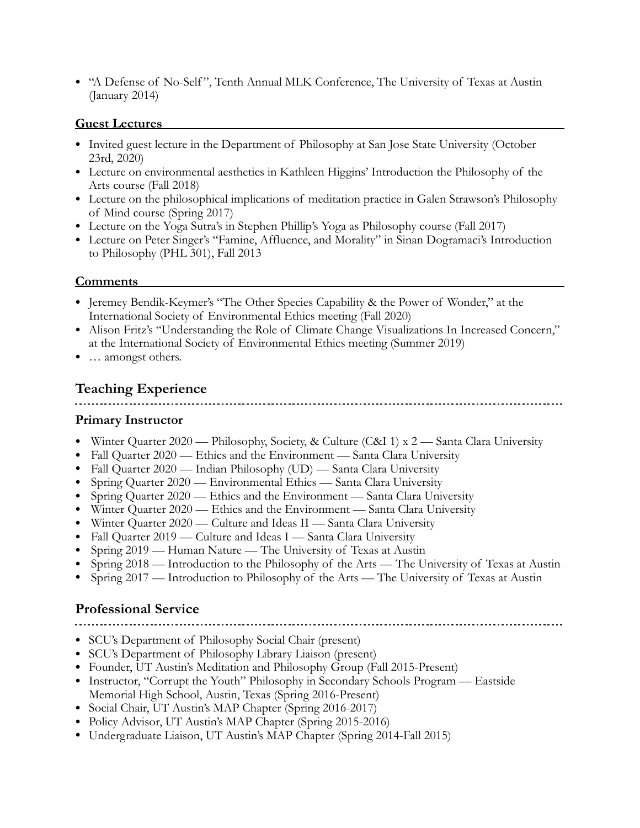• "A Defense of No-Self ", Tenth Annual MLK Conference, The University of Texas at Austin (January 2014)

#### **Guest Lectures**

- Invited guest lecture in the Department of Philosophy at San Jose State University (October 23rd, 2020)
- Lecture on environmental aesthetics in Kathleen Higgins' Introduction the Philosophy of the Arts course (Fall 2018)
- Lecture on the philosophical implications of meditation practice in Galen Strawson's Philosophy of Mind course (Spring 2017)
- Lecture on the Yoga Sutra's in Stephen Phillip's Yoga as Philosophy course (Fall 2017)
- Lecture on Peter Singer's "Famine, Affluence, and Morality" in Sinan Dogramaci's Introduction to Philosophy (PHL 301), Fall 2013

### **Comments**

- Jeremey Bendik-Keymer's "The Other Species Capability & the Power of Wonder," at the International Society of Environmental Ethics meeting (Fall 2020)
- Alison Fritz's "Understanding the Role of Climate Change Visualizations In Increased Concern," at the International Society of Environmental Ethics meeting (Summer 2019)
- ... amongst others.

# **Teaching Experience**

#### **Primary Instructor**

- Winter Quarter 2020 Philosophy, Society, & Culture (C&I 1) x 2 Santa Clara University
- Fall Quarter 2020 Ethics and the Environment Santa Clara University
- Fall Quarter 2020 Indian Philosophy (UD) Santa Clara University
- Spring Quarter 2020 Environmental Ethics Santa Clara University
- Spring Quarter 2020 Ethics and the Environment Santa Clara University
- Winter Quarter 2020 Ethics and the Environment Santa Clara University
- Winter Quarter 2020 Culture and Ideas II Santa Clara University
- Fall Quarter 2019 Culture and Ideas I Santa Clara University
- Spring 2019 Human Nature The University of Texas at Austin
- Spring 2018 Introduction to the Philosophy of the Arts The University of Texas at Austin
- Spring 2017 Introduction to Philosophy of the Arts The University of Texas at Austin

# **Professional Service**

- SCU's Department of Philosophy Social Chair (present)
- SCU's Department of Philosophy Library Liaison (present)
- Founder, UT Austin's Meditation and Philosophy Group (Fall 2015-Present)
- Instructor, "Corrupt the Youth" Philosophy in Secondary Schools Program Eastside Memorial High School, Austin, Texas (Spring 2016-Present)
- Social Chair, UT Austin's MAP Chapter (Spring 2016-2017)
- Policy Advisor, UT Austin's MAP Chapter (Spring 2015-2016)
- Undergraduate Liaison, UT Austin's MAP Chapter (Spring 2014-Fall 2015)